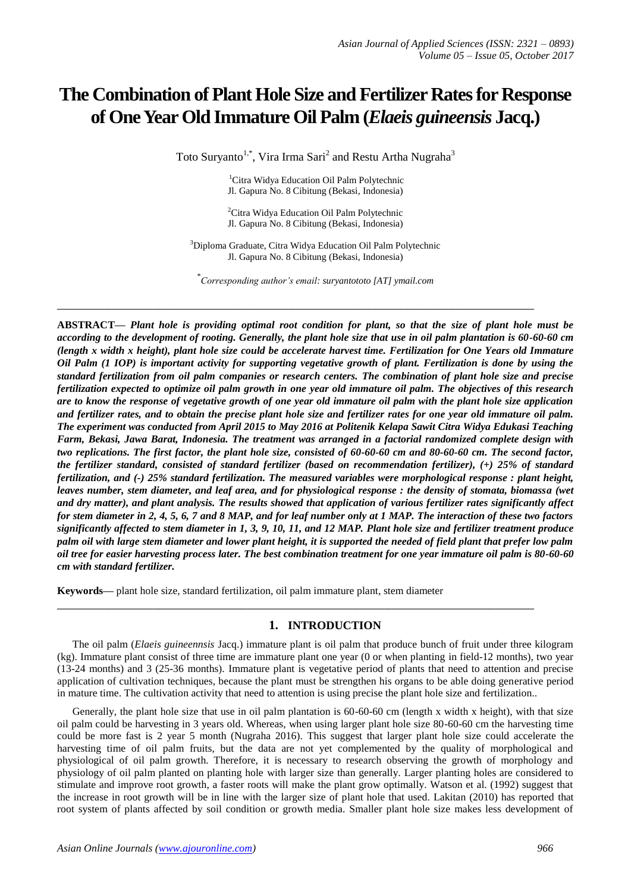# **The Combination of Plant Hole Size and Fertilizer Rates for Response of One Year Old Immature Oil Palm (***Elaeis guineensis* **Jacq.)**

Toto Suryanto<sup>1,\*</sup>, Vira Irma Sari<sup>2</sup> and Restu Artha Nugraha<sup>3</sup>

<sup>1</sup>Citra Widya Education Oil Palm Polytechnic Jl. Gapura No. 8 Cibitung (Bekasi, Indonesia)

<sup>2</sup>Citra Widya Education Oil Palm Polytechnic Jl. Gapura No. 8 Cibitung (Bekasi, Indonesia)

<sup>3</sup>Diploma Graduate, Citra Widya Education Oil Palm Polytechnic Jl. Gapura No. 8 Cibitung (Bekasi, Indonesia)

\* *Corresponding author's email: suryantototo [AT] ymail.com*

**\_\_\_\_\_\_\_\_\_\_\_\_\_\_\_\_\_\_\_\_\_\_\_\_\_\_\_\_\_\_\_\_\_\_\_\_\_\_\_\_\_\_\_\_\_\_\_\_\_\_\_\_\_\_\_\_\_\_\_\_\_\_\_\_\_\_\_\_\_\_\_\_\_\_\_**

**ABSTRACT—** *Plant hole is providing optimal root condition for plant, so that the size of plant hole must be according to the development of rooting. Generally, the plant hole size that use in oil palm plantation is 60-60-60 cm (length x width x height), plant hole size could be accelerate harvest time. Fertilization for One Years old Immature Oil Palm (1 IOP) is important activity for supporting vegetative growth of plant. Fertilization is done by using the standard fertilization from oil palm companies or research centers. The combination of plant hole size and precise fertilization expected to optimize oil palm growth in one year old immature oil palm. The objectives of this research are to know the response of vegetative growth of one year old immature oil palm with the plant hole size application and fertilizer rates, and to obtain the precise plant hole size and fertilizer rates for one year old immature oil palm. The experiment was conducted from April 2015 to May 2016 at Politenik Kelapa Sawit Citra Widya Edukasi Teaching Farm, Bekasi, Jawa Barat, Indonesia. The treatment was arranged in a factorial randomized complete design with two replications. The first factor, the plant hole size, consisted of 60-60-60 cm and 80-60-60 cm. The second factor, the fertilizer standard, consisted of standard fertilizer (based on recommendation fertilizer), (+) 25% of standard fertilization, and (-) 25% standard fertilization. The measured variables were morphological response : plant height, leaves number, stem diameter, and leaf area, and for physiological response : the density of stomata, biomassa (wet and dry matter), and plant analysis. The results showed that application of various fertilizer rates significantly affect for stem diameter in 2, 4, 5, 6, 7 and 8 MAP, and for leaf number only at 1 MAP. The interaction of these two factors significantly affected to stem diameter in 1, 3, 9, 10, 11, and 12 MAP. Plant hole size and fertilizer treatment produce palm oil with large stem diameter and lower plant height, it is supported the needed of field plant that prefer low palm oil tree for easier harvesting process later. The best combination treatment for one year immature oil palm is 80-60-60 cm with standard fertilizer.*

**Keywords—** plant hole size, standard fertilization, oil palm immature plant, stem diameter

## **1. INTRODUCTION**

The oil palm (*Elaeis guineennsis* Jacq.) immature plant is oil palm that produce bunch of fruit under three kilogram (kg). Immature plant consist of three time are immature plant one year (0 or when planting in field-12 months), two year (13-24 months) and 3 (25-36 months). Immature plant is vegetative period of plants that need to attention and precise application of cultivation techniques, because the plant must be strengthen his organs to be able doing generative period in mature time. The cultivation activity that need to attention is using precise the plant hole size and fertilization..

**\_\_\_\_\_\_\_\_\_\_\_\_\_\_\_\_\_\_\_\_\_\_\_\_\_\_\_\_\_\_\_\_\_\_\_\_\_\_\_\_\_\_\_\_\_\_\_\_\_\_\_\_\_\_\_\_\_\_\_\_\_\_\_\_\_\_\_\_\_\_\_\_\_\_\_**

Generally, the plant hole size that use in oil palm plantation is 60-60-60 cm (length x width x height), with that size oil palm could be harvesting in 3 years old. Whereas, when using larger plant hole size 80-60-60 cm the harvesting time could be more fast is 2 year 5 month (Nugraha 2016). This suggest that larger plant hole size could accelerate the harvesting time of oil palm fruits, but the data are not yet complemented by the quality of morphological and physiological of oil palm growth. Therefore, it is necessary to research observing the growth of morphology and physiology of oil palm planted on planting hole with larger size than generally. Larger planting holes are considered to stimulate and improve root growth, a faster roots will make the plant grow optimally. Watson et al. (1992) suggest that the increase in root growth will be in line with the larger size of plant hole that used. Lakitan (2010) has reported that root system of plants affected by soil condition or growth media. Smaller plant hole size makes less development of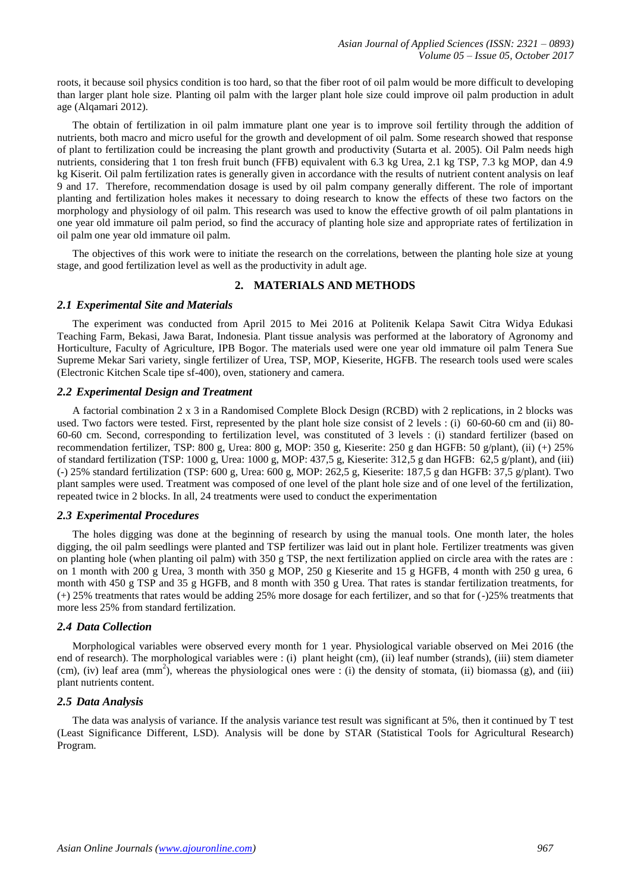roots, it because soil physics condition is too hard, so that the fiber root of oil palm would be more difficult to developing than larger plant hole size. Planting oil palm with the larger plant hole size could improve oil palm production in adult age (Alqamari 2012).

The obtain of fertilization in oil palm immature plant one year is to improve soil fertility through the addition of nutrients, both macro and micro useful for the growth and development of oil palm. Some research showed that response of plant to fertilization could be increasing the plant growth and productivity (Sutarta et al. 2005). Oil Palm needs high nutrients, considering that 1 ton fresh fruit bunch (FFB) equivalent with 6.3 kg Urea, 2.1 kg TSP, 7.3 kg MOP, dan 4.9 kg Kiserit. Oil palm fertilization rates is generally given in accordance with the results of nutrient content analysis on leaf 9 and 17. Therefore, recommendation dosage is used by oil palm company generally different. The role of important planting and fertilization holes makes it necessary to doing research to know the effects of these two factors on the morphology and physiology of oil palm. This research was used to know the effective growth of oil palm plantations in one year old immature oil palm period, so find the accuracy of planting hole size and appropriate rates of fertilization in oil palm one year old immature oil palm.

The objectives of this work were to initiate the research on the correlations, between the planting hole size at young stage, and good fertilization level as well as the productivity in adult age.

## **2. MATERIALS AND METHODS**

#### *2.1 Experimental Site and Materials*

The experiment was conducted from April 2015 to Mei 2016 at Politenik Kelapa Sawit Citra Widya Edukasi Teaching Farm, Bekasi, Jawa Barat, Indonesia. Plant tissue analysis was performed at the laboratory of Agronomy and Horticulture, Faculty of Agriculture, IPB Bogor. The materials used were one year old immature oil palm Tenera Sue Supreme Mekar Sari variety, single fertilizer of Urea, TSP, MOP, Kieserite, HGFB. The research tools used were scales (Electronic Kitchen Scale tipe sf-400), oven, stationery and camera.

## *2.2 Experimental Design and Treatment*

A factorial combination 2 x 3 in a Randomised Complete Block Design (RCBD) with 2 replications, in 2 blocks was used. Two factors were tested. First, represented by the plant hole size consist of 2 levels : (i) 60-60-60 cm and (ii) 80- 60-60 cm. Second, corresponding to fertilization level, was constituted of 3 levels : (i) standard fertilizer (based on recommendation fertilizer, TSP: 800 g, Urea: 800 g, MOP: 350 g, Kieserite: 250 g dan HGFB: 50 g/plant), (ii) (+) 25% of standard fertilization (TSP: 1000 g, Urea: 1000 g, MOP: 437,5 g, Kieserite: 312,5 g dan HGFB: 62,5 g/plant), and (iii) (-) 25% standard fertilization (TSP: 600 g, Urea: 600 g, MOP: 262,5 g, Kieserite: 187,5 g dan HGFB: 37,5 g/plant). Two plant samples were used. Treatment was composed of one level of the plant hole size and of one level of the fertilization, repeated twice in 2 blocks. In all, 24 treatments were used to conduct the experimentation

#### *2.3 Experimental Procedures*

The holes digging was done at the beginning of research by using the manual tools. One month later, the holes digging, the oil palm seedlings were planted and TSP fertilizer was laid out in plant hole. Fertilizer treatments was given on planting hole (when planting oil palm) with 350 g TSP, the next fertilization applied on circle area with the rates are : on 1 month with 200 g Urea, 3 month with 350 g MOP, 250 g Kieserite and 15 g HGFB, 4 month with 250 g urea, 6 month with 450 g TSP and 35 g HGFB, and 8 month with 350 g Urea. That rates is standar fertilization treatments, for (+) 25% treatments that rates would be adding 25% more dosage for each fertilizer, and so that for (-)25% treatments that more less 25% from standard fertilization.

#### *2.4 Data Collection*

Morphological variables were observed every month for 1 year. Physiological variable observed on Mei 2016 (the end of research). The morphological variables were : (i) plant height (cm), (ii) leaf number (strands), (iii) stem diameter (cm), (iv) leaf area (mm<sup>2</sup>), whereas the physiological ones were : (i) the density of stomata, (ii) biomassa (g), and (iii) plant nutrients content.

#### *2.5 Data Analysis*

The data was analysis of variance. If the analysis variance test result was significant at 5%, then it continued by T test (Least Significance Different, LSD). Analysis will be done by STAR (Statistical Tools for Agricultural Research) Program.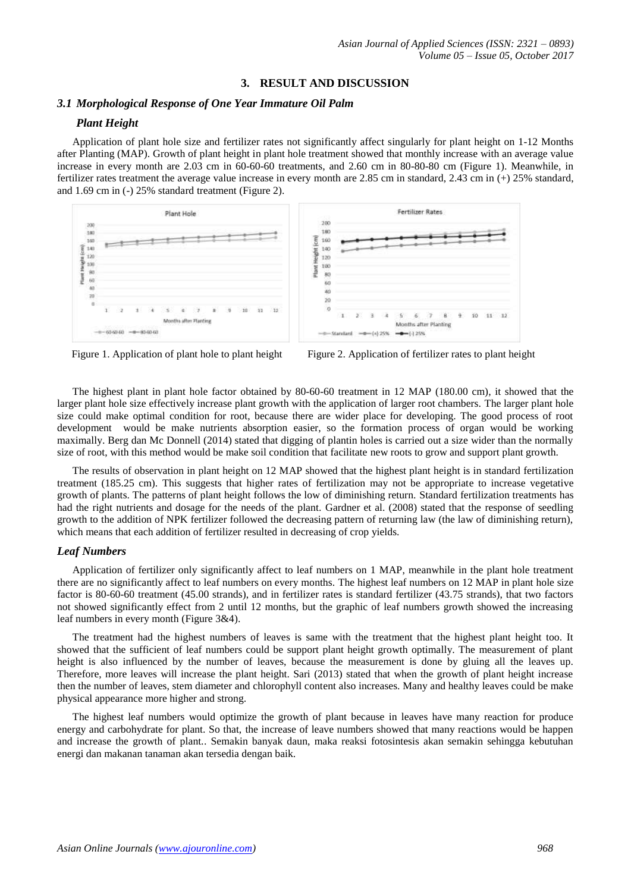## **3. RESULT AND DISCUSSION**

## *3.1 Morphological Response of One Year Immature Oil Palm*

## *Plant Height*

Application of plant hole size and fertilizer rates not significantly affect singularly for plant height on 1-12 Months after Planting (MAP). Growth of plant height in plant hole treatment showed that monthly increase with an average value increase in every month are 2.03 cm in 60-60-60 treatments, and 2.60 cm in 80-80-80 cm (Figure 1). Meanwhile, in fertilizer rates treatment the average value increase in every month are 2.85 cm in standard, 2.43 cm in (+) 25% standard, and 1.69 cm in (-) 25% standard treatment (Figure 2).





The highest plant in plant hole factor obtained by 80-60-60 treatment in 12 MAP (180.00 cm), it showed that the larger plant hole size effectively increase plant growth with the application of larger root chambers. The larger plant hole size could make optimal condition for root, because there are wider place for developing. The good process of root development would be make nutrients absorption easier, so the formation process of organ would be working maximally. Berg dan Mc Donnell (2014) stated that digging of plantin holes is carried out a size wider than the normally size of root, with this method would be make soil condition that facilitate new roots to grow and support plant growth.

The results of observation in plant height on 12 MAP showed that the highest plant height is in standard fertilization treatment (185.25 cm). This suggests that higher rates of fertilization may not be appropriate to increase vegetative growth of plants. The patterns of plant height follows the low of diminishing return. Standard fertilization treatments has had the right nutrients and dosage for the needs of the plant. Gardner et al. (2008) stated that the response of seedling growth to the addition of NPK fertilizer followed the decreasing pattern of returning law (the law of diminishing return), which means that each addition of fertilizer resulted in decreasing of crop yields.

#### *Leaf Numbers*

Application of fertilizer only significantly affect to leaf numbers on 1 MAP, meanwhile in the plant hole treatment there are no significantly affect to leaf numbers on every months. The highest leaf numbers on 12 MAP in plant hole size factor is 80-60-60 treatment (45.00 strands), and in fertilizer rates is standard fertilizer (43.75 strands), that two factors not showed significantly effect from 2 until 12 months, but the graphic of leaf numbers growth showed the increasing leaf numbers in every month (Figure 3&4).

The treatment had the highest numbers of leaves is same with the treatment that the highest plant height too. It showed that the sufficient of leaf numbers could be support plant height growth optimally. The measurement of plant height is also influenced by the number of leaves, because the measurement is done by gluing all the leaves up. Therefore, more leaves will increase the plant height. Sari (2013) stated that when the growth of plant height increase then the number of leaves, stem diameter and chlorophyll content also increases. Many and healthy leaves could be make physical appearance more higher and strong.

The highest leaf numbers would optimize the growth of plant because in leaves have many reaction for produce energy and carbohydrate for plant. So that, the increase of leave numbers showed that many reactions would be happen and increase the growth of plant.. Semakin banyak daun, maka reaksi fotosintesis akan semakin sehingga kebutuhan energi dan makanan tanaman akan tersedia dengan baik.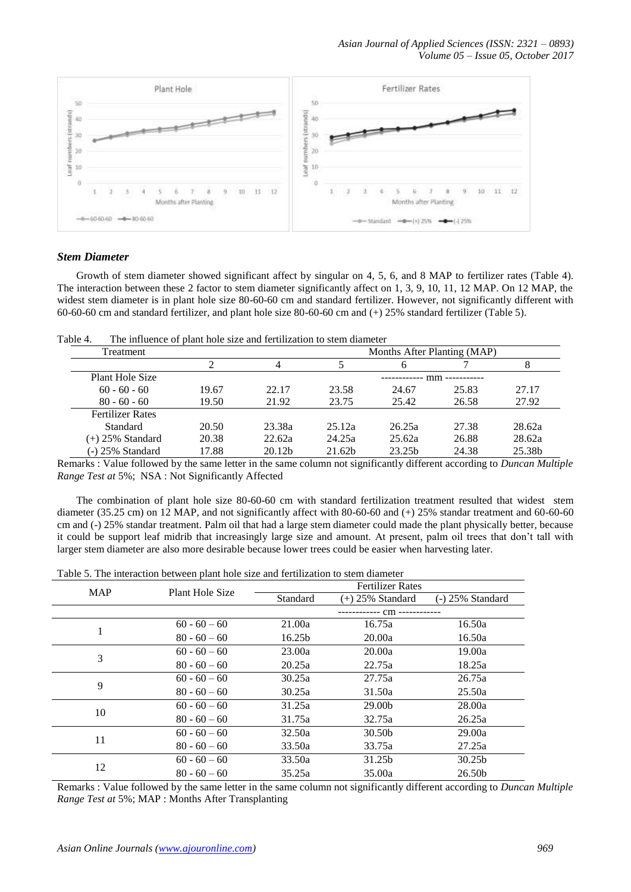*Asian Journal of Applied Sciences (ISSN: 2321 – 0893) Volume 05 – Issue 05, October 2017*



## *Stem Diameter*

Growth of stem diameter showed significant affect by singular on 4, 5, 6, and 8 MAP to fertilizer rates (Table 4). The interaction between these 2 factor to stem diameter significantly affect on 1, 3, 9, 10, 11, 12 MAP. On 12 MAP, the widest stem diameter is in plant hole size 80-60-60 cm and standard fertilizer. However, not significantly different with 60-60-60 cm and standard fertilizer, and plant hole size 80-60-60 cm and (+) 25% standard fertilizer (Table 5).

| Table 4. | The influence of plant hole size and fertilization to stem diameter |  |
|----------|---------------------------------------------------------------------|--|
|          |                                                                     |  |

| Treatment               |       |                    |        | Months After Planting (MAP) |                  |        |
|-------------------------|-------|--------------------|--------|-----------------------------|------------------|--------|
|                         |       |                    |        |                             |                  |        |
| Plant Hole Size         |       |                    |        | ------------                | - mm ----------- |        |
| $60 - 60 - 60$          | 19.67 | 22.17              | 23.58  | 24.67                       | 25.83            | 27.17  |
| $80 - 60 - 60$          | 19.50 | 21.92              | 23.75  | 25.42                       | 26.58            | 27.92  |
| <b>Fertilizer Rates</b> |       |                    |        |                             |                  |        |
| Standard                | 20.50 | 23.38a             | 25.12a | 26.25a                      | 27.38            | 28.62a |
| $(+)$ 25% Standard      | 20.38 | 22.62a             | 24.25a | 25.62a                      | 26.88            | 28.62a |
| (-) 25% Standard        | 17.88 | 20.12 <sub>b</sub> | 21.62b | 23.25 <sub>b</sub>          | 24.38            | 25.38b |

Remarks : Value followed by the same letter in the same column not significantly different according to *Duncan Multiple Range Test at* 5%; NSA : Not Significantly Affected

The combination of plant hole size 80-60-60 cm with standard fertilization treatment resulted that widest stem diameter (35.25 cm) on 12 MAP, and not significantly affect with 80-60-60 and (+) 25% standar treatment and 60-60-60 cm and (-) 25% standar treatment. Palm oil that had a large stem diameter could made the plant physically better, because it could be support leaf midrib that increasingly large size and amount. At present, palm oil trees that don't tall with larger stem diameter are also more desirable because lower trees could be easier when harvesting later.

| racio of the micraelism section plant hole size and fertilization to stem chancel |                 |          |                         |                    |  |  |
|-----------------------------------------------------------------------------------|-----------------|----------|-------------------------|--------------------|--|--|
| <b>MAP</b>                                                                        | Plant Hole Size |          | <b>Fertilizer Rates</b> |                    |  |  |
|                                                                                   |                 | Standard | (+) 25% Standard        | (-) 25% Standard   |  |  |
|                                                                                   |                 |          |                         |                    |  |  |
|                                                                                   | $60 - 60 - 60$  | 21.00a   | 16.75a                  | 16.50a             |  |  |
|                                                                                   | $80 - 60 - 60$  | 16.25b   | 20.00a                  | 16.50a             |  |  |
| 3                                                                                 | $60 - 60 - 60$  | 23.00a   | 20.00a                  | 19.00a             |  |  |
|                                                                                   | $80 - 60 - 60$  | 20.25a   | 22.75a                  | 18.25a             |  |  |
| 9                                                                                 | $60 - 60 - 60$  | 30.25a   | 27.75a                  | 26.75a             |  |  |
|                                                                                   | $80 - 60 - 60$  | 30.25a   | 31.50a                  | 25.50a             |  |  |
| 10                                                                                | $60 - 60 - 60$  | 31.25a   | 29.00b                  | 28.00a             |  |  |
|                                                                                   | $80 - 60 - 60$  | 31.75a   | 32.75a                  | 26.25a             |  |  |
| 11                                                                                | $60 - 60 - 60$  | 32.50a   | 30.50b                  | 29.00a             |  |  |
|                                                                                   | $80 - 60 - 60$  | 33.50a   | 33.75a                  | 27.25a             |  |  |
|                                                                                   | $60 - 60 - 60$  | 33.50a   | 31.25b                  | 30.25 <sub>b</sub> |  |  |
| 12                                                                                | $80 - 60 - 60$  | 35.25a   | 35.00a                  | 26.50b             |  |  |

Remarks : Value followed by the same letter in the same column not significantly different according to *Duncan Multiple Range Test at* 5%; MAP : Months After Transplanting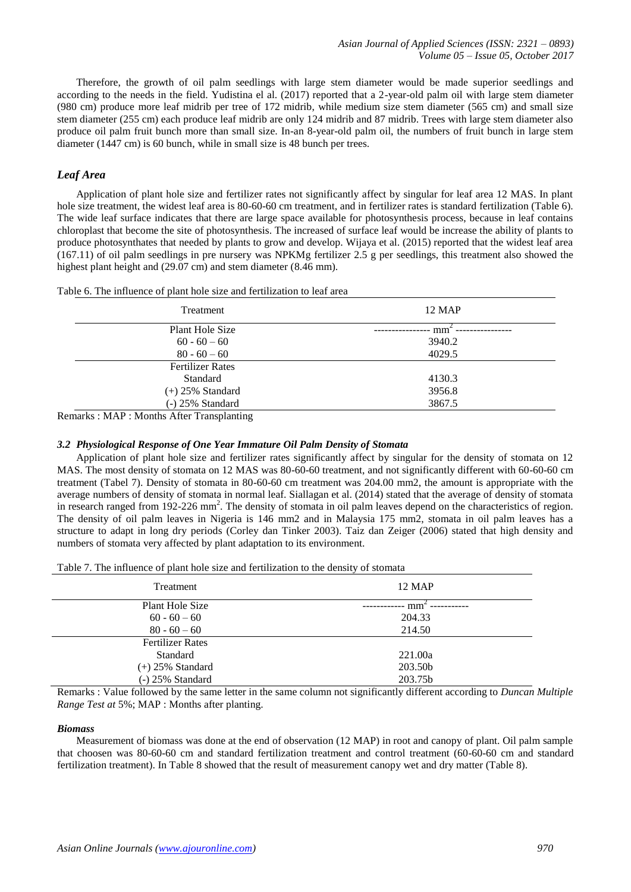Therefore, the growth of oil palm seedlings with large stem diameter would be made superior seedlings and according to the needs in the field. Yudistina el al. (2017) reported that a 2-year-old palm oil with large stem diameter (980 cm) produce more leaf midrib per tree of 172 midrib, while medium size stem diameter (565 cm) and small size stem diameter (255 cm) each produce leaf midrib are only 124 midrib and 87 midrib. Trees with large stem diameter also produce oil palm fruit bunch more than small size. In-an 8-year-old palm oil, the numbers of fruit bunch in large stem diameter (1447 cm) is 60 bunch, while in small size is 48 bunch per trees.

## *Leaf Area*

Application of plant hole size and fertilizer rates not significantly affect by singular for leaf area 12 MAS. In plant hole size treatment, the widest leaf area is 80-60-60 cm treatment, and in fertilizer rates is standard fertilization (Table 6). The wide leaf surface indicates that there are large space available for photosynthesis process, because in leaf contains chloroplast that become the site of photosynthesis. The increased of surface leaf would be increase the ability of plants to produce photosynthates that needed by plants to grow and develop. Wijaya et al. (2015) reported that the widest leaf area (167.11) of oil palm seedlings in pre nursery was NPKMg fertilizer 2.5 g per seedlings, this treatment also showed the highest plant height and (29.07 cm) and stem diameter (8.46 mm).

|  |  | Table 6. The influence of plant hole size and fertilization to leaf area |
|--|--|--------------------------------------------------------------------------|
|--|--|--------------------------------------------------------------------------|

| Treatment               | <b>12 MAP</b>  |
|-------------------------|----------------|
| Plant Hole Size         | $mm^{\sim}$ -- |
| $60 - 60 - 60$          | 3940.2         |
| $80 - 60 - 60$          | 4029.5         |
| <b>Fertilizer Rates</b> |                |
| Standard                | 4130.3         |
| $(+)$ 25% Standard      | 3956.8         |
| $(-)$ 25% Standard      | 3867.5         |

Remarks : MAP : Months After Transplanting

#### *3.2 Physiological Response of One Year Immature Oil Palm Density of Stomata*

Application of plant hole size and fertilizer rates significantly affect by singular for the density of stomata on 12 MAS. The most density of stomata on 12 MAS was 80-60-60 treatment, and not significantly different with 60-60-60 cm treatment (Tabel 7). Density of stomata in 80-60-60 cm treatment was 204.00 mm2, the amount is appropriate with the average numbers of density of stomata in normal leaf. Siallagan et al. (2014) stated that the average of density of stomata in research ranged from  $192-226$  mm<sup>2</sup>. The density of stomata in oil palm leaves depend on the characteristics of region. The density of oil palm leaves in Nigeria is 146 mm2 and in Malaysia 175 mm2, stomata in oil palm leaves has a structure to adapt in long dry periods (Corley dan Tinker 2003). Taiz dan Zeiger (2006) stated that high density and numbers of stomata very affected by plant adaptation to its environment.

|  |  | Table 7. The influence of plant hole size and fertilization to the density of stomata |
|--|--|---------------------------------------------------------------------------------------|
|  |  |                                                                                       |

| Treatment               | <b>12 MAP</b> |
|-------------------------|---------------|
| Plant Hole Size         | mm            |
| $60 - 60 - 60$          | 204.33        |
| $80 - 60 - 60$          | 214.50        |
| <b>Fertilizer Rates</b> |               |
| Standard                | 221.00a       |
| $(+)$ 25% Standard      | 203.50b       |
| $(-)$ 25% Standard      | 203.75b       |

Remarks : Value followed by the same letter in the same column not significantly different according to *Duncan Multiple Range Test at* 5%; MAP : Months after planting.

#### *Biomass*

Measurement of biomass was done at the end of observation (12 MAP) in root and canopy of plant. Oil palm sample that choosen was 80-60-60 cm and standard fertilization treatment and control treatment (60-60-60 cm and standard fertilization treatment). In Table 8 showed that the result of measurement canopy wet and dry matter (Table 8).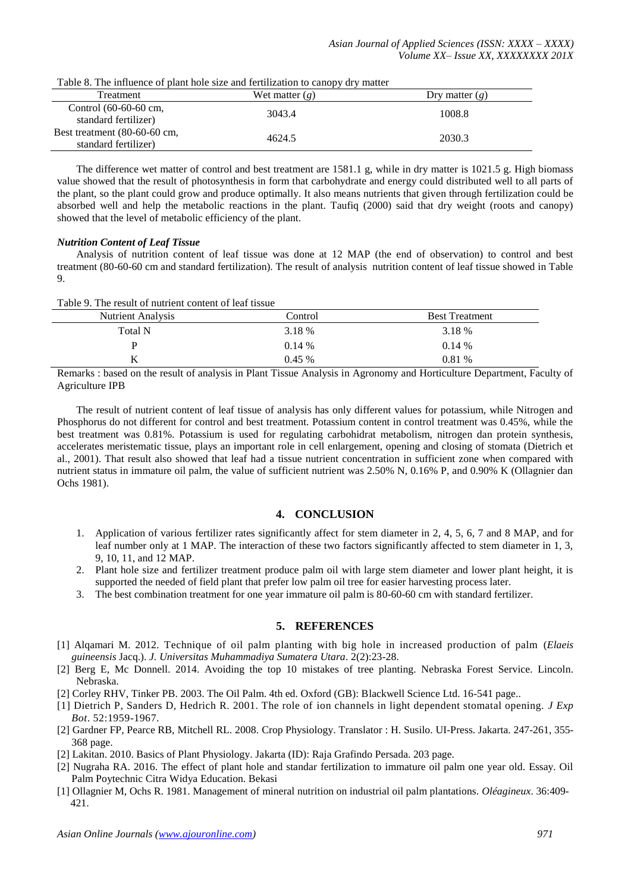| <b>Treatment</b>                                        | Wet matter $(g)$ | Dry matter $(g)$ |
|---------------------------------------------------------|------------------|------------------|
| Control (60-60-60 cm,<br>standard fertilizer)           | 3043.4           | 1008.8           |
| Best treatment $(80-60-60)$ cm,<br>standard fertilizer) | 4624.5           | 2030.3           |

The difference wet matter of control and best treatment are 1581.1 g, while in dry matter is 1021.5 g. High biomass value showed that the result of photosynthesis in form that carbohydrate and energy could distributed well to all parts of the plant, so the plant could grow and produce optimally. It also means nutrients that given through fertilization could be absorbed well and help the metabolic reactions in the plant. Taufiq (2000) said that dry weight (roots and canopy) showed that the level of metabolic efficiency of the plant.

#### *Nutrition Content of Leaf Tissue*

Analysis of nutrition content of leaf tissue was done at 12 MAP (the end of observation) to control and best treatment (80-60-60 cm and standard fertilization). The result of analysis nutrition content of leaf tissue showed in Table 9.

Table 9. The result of nutrient content of leaf tissue

| <b>Nutrient Analysis</b> | Control  | <b>Best Treatment</b> |
|--------------------------|----------|-----------------------|
| <b>Total N</b>           | 3.18 %   | 3.18 %                |
| D                        | 0.14%    | $0.14\%$              |
| V                        | $0.45\%$ | 0.81 %                |

Remarks : based on the result of analysis in Plant Tissue Analysis in Agronomy and Horticulture Department, Faculty of Agriculture IPB

The result of nutrient content of leaf tissue of analysis has only different values for potassium, while Nitrogen and Phosphorus do not different for control and best treatment. Potassium content in control treatment was 0.45%, while the best treatment was 0.81%. Potassium is used for regulating carbohidrat metabolism, nitrogen dan protein synthesis, accelerates meristematic tissue, plays an important role in cell enlargement, opening and closing of stomata (Dietrich et al., 2001). That result also showed that leaf had a tissue nutrient concentration in sufficient zone when compared with nutrient status in immature oil palm, the value of sufficient nutrient was 2.50% N, 0.16% P, and 0.90% K (Ollagnier dan Ochs 1981).

## **4. CONCLUSION**

- 1. Application of various fertilizer rates significantly affect for stem diameter in 2, 4, 5, 6, 7 and 8 MAP, and for leaf number only at 1 MAP. The interaction of these two factors significantly affected to stem diameter in 1, 3, 9, 10, 11, and 12 MAP.
- 2. Plant hole size and fertilizer treatment produce palm oil with large stem diameter and lower plant height, it is supported the needed of field plant that prefer low palm oil tree for easier harvesting process later.
- 3. The best combination treatment for one year immature oil palm is 80-60-60 cm with standard fertilizer.

## **5. REFERENCES**

- [1] Alqamari M. 2012. Technique of oil palm planting with big hole in increased production of palm (*Elaeis guineensis* Jacq.). *J. Universitas Muhammadiya Sumatera Utara*. 2(2):23-28.
- [2] Berg E, Mc Donnell. 2014. Avoiding the top 10 mistakes of tree planting. Nebraska Forest Service. Lincoln. Nebraska.
- [2] Corley RHV, Tinker PB. 2003. The Oil Palm. 4th ed. Oxford (GB): Blackwell Science Ltd. 16-541 page..
- [1] Dietrich P, Sanders D, Hedrich R. 2001. The role of ion channels in light dependent stomatal opening. *J Exp Bot*. 52:1959-1967.
- [2] Gardner FP, Pearce RB, Mitchell RL. 2008. Crop Physiology. Translator : H. Susilo. UI-Press. Jakarta. 247-261, 355- 368 page.
- [2] Lakitan. 2010. Basics of Plant Physiology. Jakarta (ID): Raja Grafindo Persada. 203 page.
- [2] Nugraha RA. 2016. The effect of plant hole and standar fertilization to immature oil palm one year old. Essay. Oil Palm Poytechnic Citra Widya Education. Bekasi
- [1] Ollagnier M, Ochs R. 1981. Management of mineral nutrition on industrial oil palm plantations. *Oléagineux*. 36:409- 421.